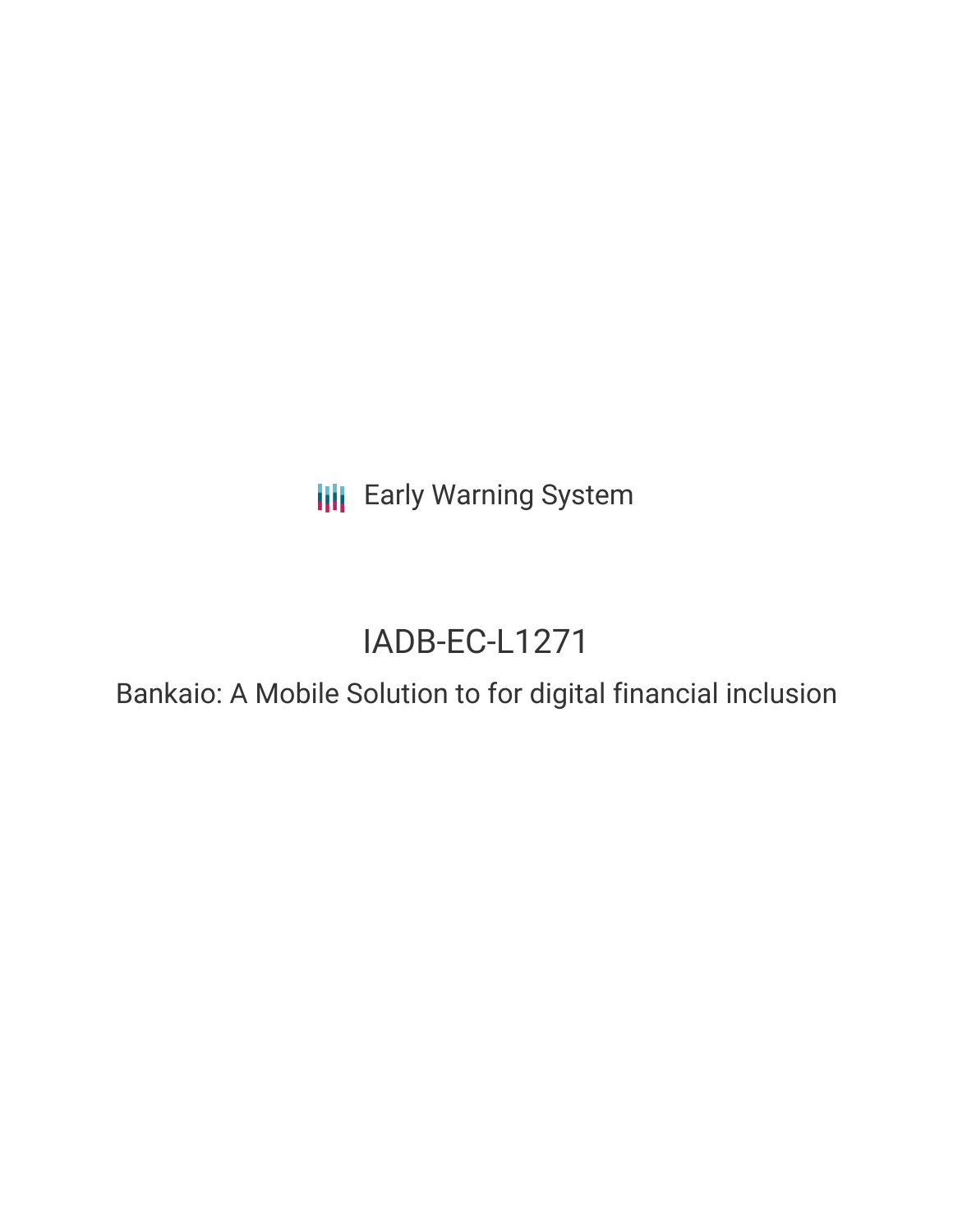**III** Early Warning System

# IADB-EC-L1271

Bankaio: A Mobile Solution to for digital financial inclusion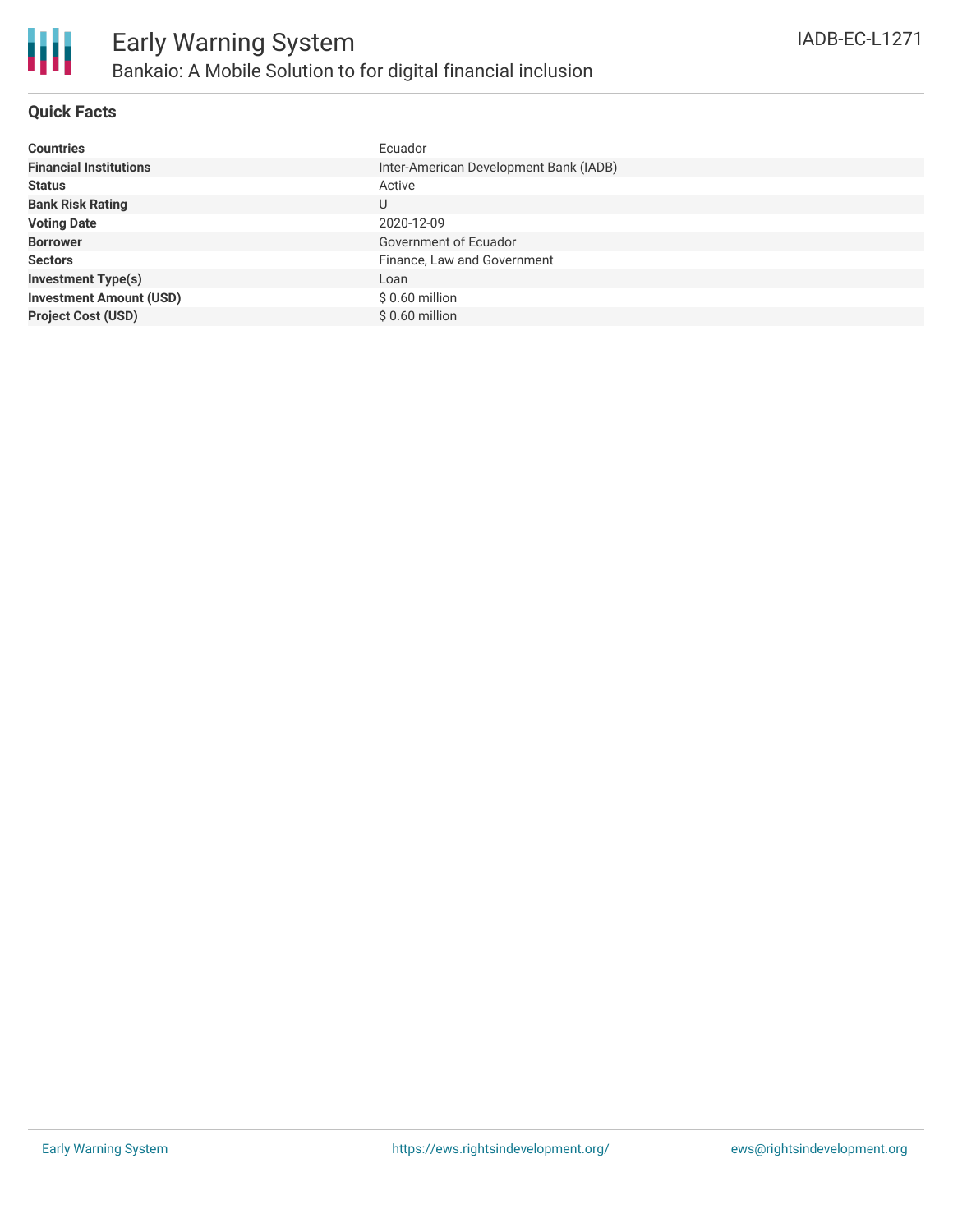

### **Quick Facts**

| <b>Countries</b>               | Ecuador                                |
|--------------------------------|----------------------------------------|
| <b>Financial Institutions</b>  | Inter-American Development Bank (IADB) |
| <b>Status</b>                  | Active                                 |
| <b>Bank Risk Rating</b>        | U                                      |
| <b>Voting Date</b>             | 2020-12-09                             |
| <b>Borrower</b>                | Government of Ecuador                  |
| <b>Sectors</b>                 | Finance, Law and Government            |
| <b>Investment Type(s)</b>      | Loan                                   |
| <b>Investment Amount (USD)</b> | $$0.60$ million                        |
| <b>Project Cost (USD)</b>      | $$0.60$ million                        |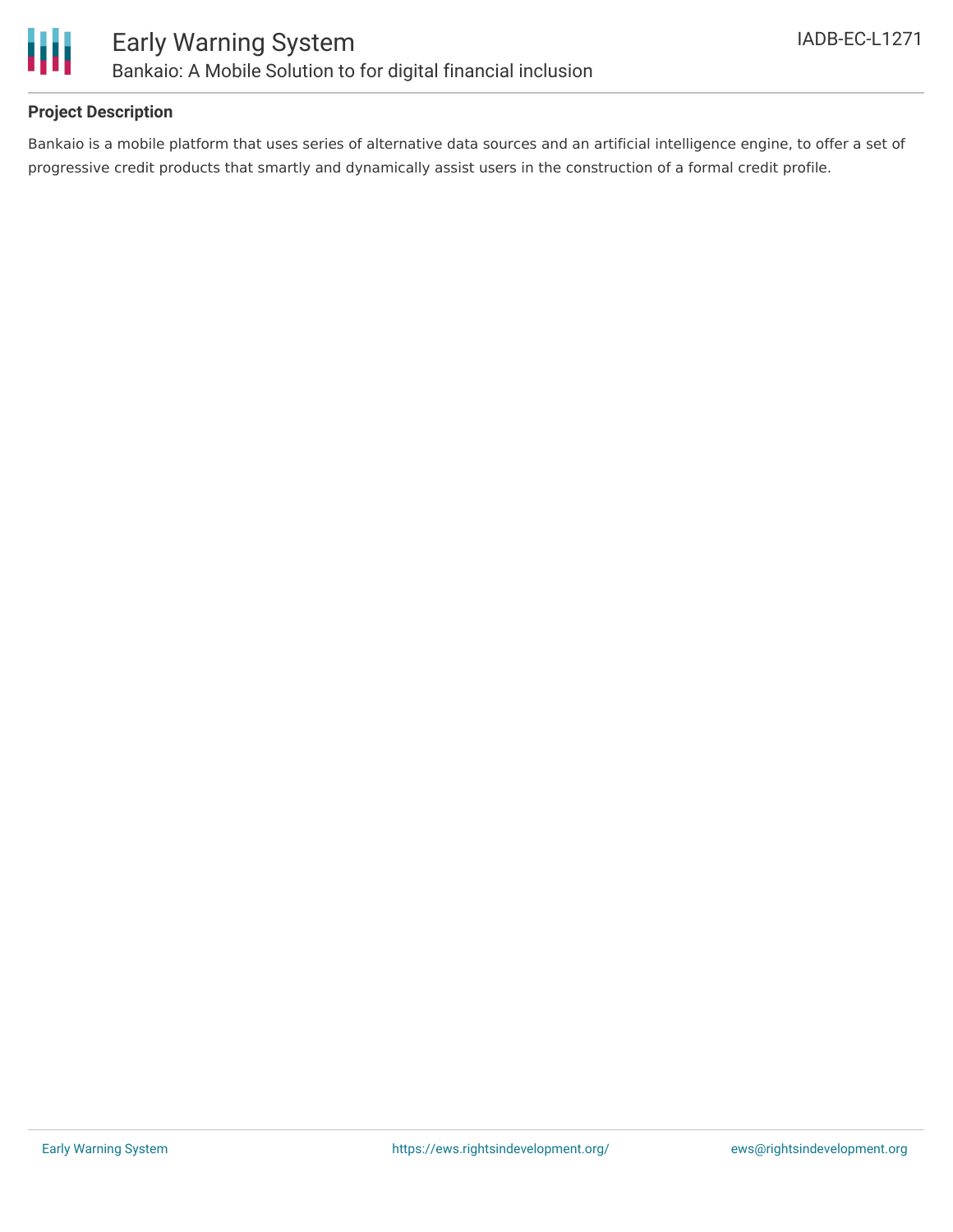



### **Project Description**

Bankaio is a mobile platform that uses series of alternative data sources and an artificial intelligence engine, to offer a set of progressive credit products that smartly and dynamically assist users in the construction of a formal credit profile.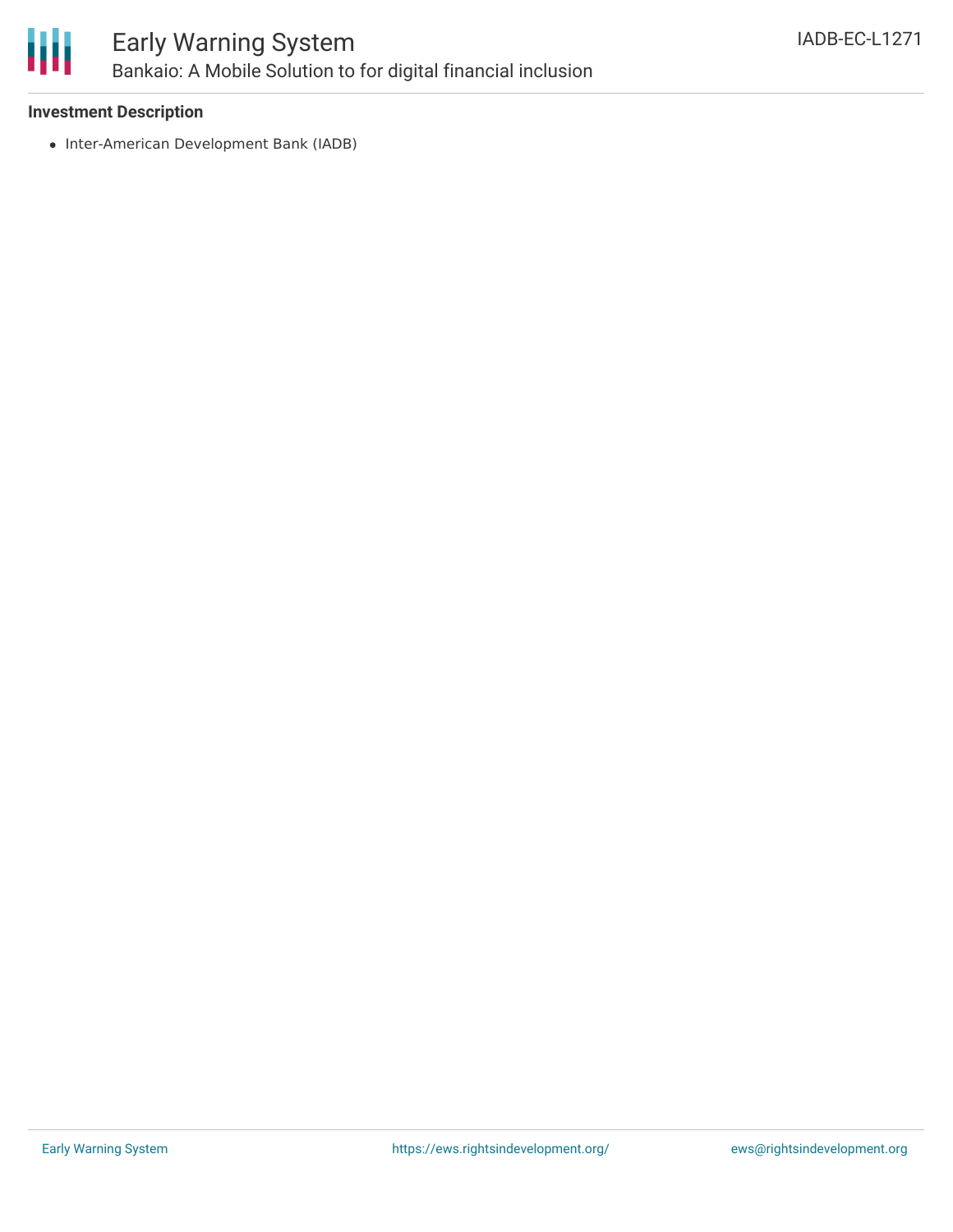

## Early Warning System Bankaio: A Mobile Solution to for digital financial inclusion

### **Investment Description**

• Inter-American Development Bank (IADB)